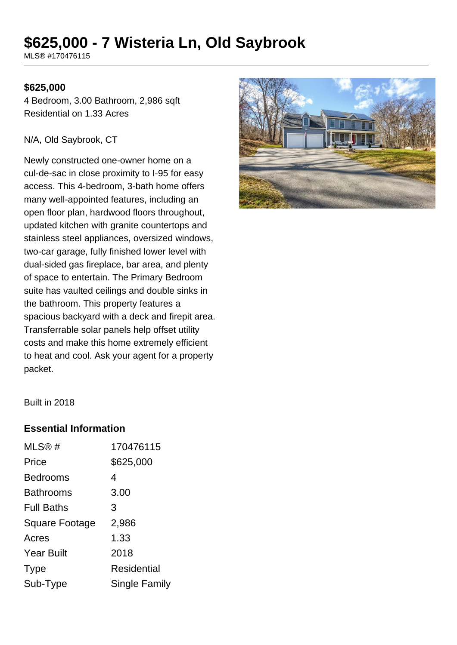# **\$625,000 - 7 Wisteria Ln, Old Saybrook**

MLS® #170476115

#### **\$625,000**

4 Bedroom, 3.00 Bathroom, 2,986 sqft Residential on 1.33 Acres

#### N/A, Old Saybrook, CT

Newly constructed one-owner home on a cul-de-sac in close proximity to I-95 for easy access. This 4-bedroom, 3-bath home offers many well-appointed features, including an open floor plan, hardwood floors throughout, updated kitchen with granite countertops and stainless steel appliances, oversized windows, two-car garage, fully finished lower level with dual-sided gas fireplace, bar area, and plenty of space to entertain. The Primary Bedroom suite has vaulted ceilings and double sinks in the bathroom. This property features a spacious backyard with a deck and firepit area. Transferrable solar panels help offset utility costs and make this home extremely efficient to heat and cool. Ask your agent for a property packet.



Built in 2018

#### **Essential Information**

| MLS@#                 | 170476115     |
|-----------------------|---------------|
| Price                 | \$625,000     |
| <b>Bedrooms</b>       | 4             |
| <b>Bathrooms</b>      | 3.00          |
| <b>Full Baths</b>     | 3             |
| <b>Square Footage</b> | 2,986         |
| Acres                 | 1.33          |
| <b>Year Built</b>     | 2018          |
| <b>Type</b>           | Residential   |
| Sub-Type              | Single Family |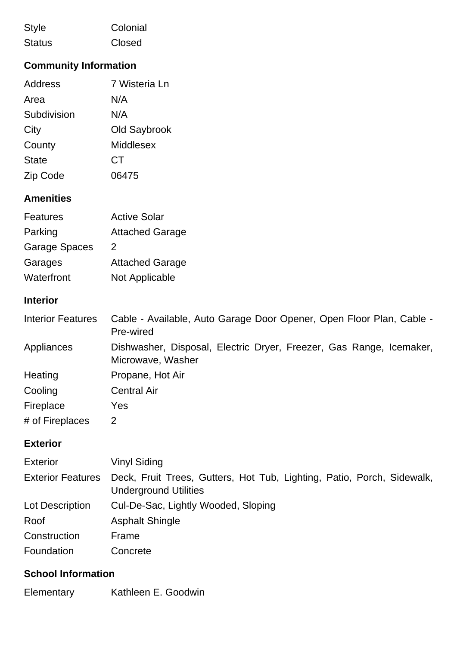| <b>Style</b>  | Colonial |
|---------------|----------|
| <b>Status</b> | Closed   |

## **Community Information**

| Address      | 7 Wisteria Ln |
|--------------|---------------|
| Area         | N/A           |
| Subdivision  | N/A           |
| City         | Old Saybrook  |
| County       | Middlesex     |
| <b>State</b> | CT            |
| Zip Code     | 06475         |
|              |               |

## **Amenities**

| <b>Features</b>      | <b>Active Solar</b>    |
|----------------------|------------------------|
| Parking              | <b>Attached Garage</b> |
| <b>Garage Spaces</b> | 2                      |
| Garages              | <b>Attached Garage</b> |
| Waterfront           | Not Applicable         |

## **Interior**

| <b>Interior Features</b> | Cable - Available, Auto Garage Door Opener, Open Floor Plan, Cable -<br>Pre-wired        |
|--------------------------|------------------------------------------------------------------------------------------|
| Appliances               | Dishwasher, Disposal, Electric Dryer, Freezer, Gas Range, Icemaker,<br>Microwave, Washer |
| Heating                  | Propane, Hot Air                                                                         |
| Cooling                  | <b>Central Air</b>                                                                       |
| Fireplace                | Yes                                                                                      |
| # of Fireplaces          | 2                                                                                        |

## **Exterior**

| <b>Exterior</b>          | <b>Vinyl Siding</b>                                                                                    |
|--------------------------|--------------------------------------------------------------------------------------------------------|
| <b>Exterior Features</b> | Deck, Fruit Trees, Gutters, Hot Tub, Lighting, Patio, Porch, Sidewalk,<br><b>Underground Utilities</b> |
| Lot Description          | Cul-De-Sac, Lightly Wooded, Sloping                                                                    |
| Roof                     | <b>Asphalt Shingle</b>                                                                                 |
| Construction             | Frame                                                                                                  |
| Foundation               | Concrete                                                                                               |

# **School Information**

Elementary Kathleen E. Goodwin